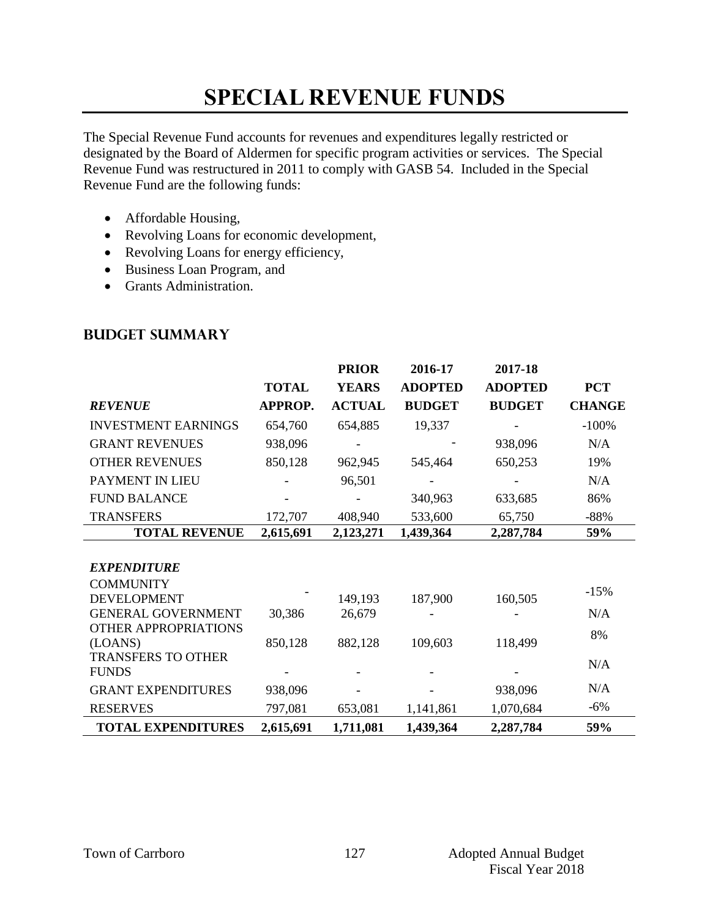# **SPECIAL REVENUE FUNDS**

The Special Revenue Fund accounts for revenues and expenditures legally restricted or designated by the Board of Aldermen for specific program activities or services. The Special Revenue Fund was restructured in 2011 to comply with GASB 54. Included in the Special Revenue Fund are the following funds:

- Affordable Housing,
- Revolving Loans for economic development,
- Revolving Loans for energy efficiency,
- Business Loan Program, and
- Grants Administration.

|                            |              | <b>PRIOR</b>  | 2016-17        | 2017-18        |               |
|----------------------------|--------------|---------------|----------------|----------------|---------------|
|                            | <b>TOTAL</b> | <b>YEARS</b>  | <b>ADOPTED</b> | <b>ADOPTED</b> | <b>PCT</b>    |
| <b>REVENUE</b>             | APPROP.      | <b>ACTUAL</b> | <b>BUDGET</b>  | <b>BUDGET</b>  | <b>CHANGE</b> |
| <b>INVESTMENT EARNINGS</b> | 654,760      | 654,885       | 19,337         |                | $-100%$       |
| <b>GRANT REVENUES</b>      | 938,096      |               |                | 938,096        | N/A           |
| <b>OTHER REVENUES</b>      | 850,128      | 962,945       | 545,464        | 650,253        | 19%           |
| PAYMENT IN LIEU            |              | 96,501        |                |                | N/A           |
| <b>FUND BALANCE</b>        |              |               | 340,963        | 633,685        | 86%           |
| <b>TRANSFERS</b>           | 172,707      | 408,940       | 533,600        | 65,750         | $-88%$        |
| <b>TOTAL REVENUE</b>       | 2,615,691    | 2,123,271     | 1,439,364      | 2,287,784      | 59%           |
|                            |              |               |                |                |               |
| <b>EXPENDITURE</b>         |              |               |                |                |               |
| <b>COMMUNITY</b>           |              |               |                |                | $-15%$        |
| <b>DEVELOPMENT</b>         |              | 149,193       | 187,900        | 160,505        |               |
| <b>GENERAL GOVERNMENT</b>  | 30,386       | 26,679        |                |                | N/A           |
| OTHER APPROPRIATIONS       |              |               |                |                | 8%            |
| (LOANS)                    | 850,128      | 882,128       | 109,603        | 118,499        |               |
| <b>TRANSFERS TO OTHER</b>  |              |               |                |                | N/A           |
| <b>FUNDS</b>               |              |               |                |                |               |
| <b>GRANT EXPENDITURES</b>  | 938,096      |               |                | 938,096        | N/A           |
| <b>RESERVES</b>            | 797,081      | 653,081       | 1,141,861      | 1,070,684      | $-6%$         |
| <b>TOTAL EXPENDITURES</b>  | 2,615,691    | 1,711,081     | 1,439,364      | 2,287,784      | 59%           |

#### **Budget summary**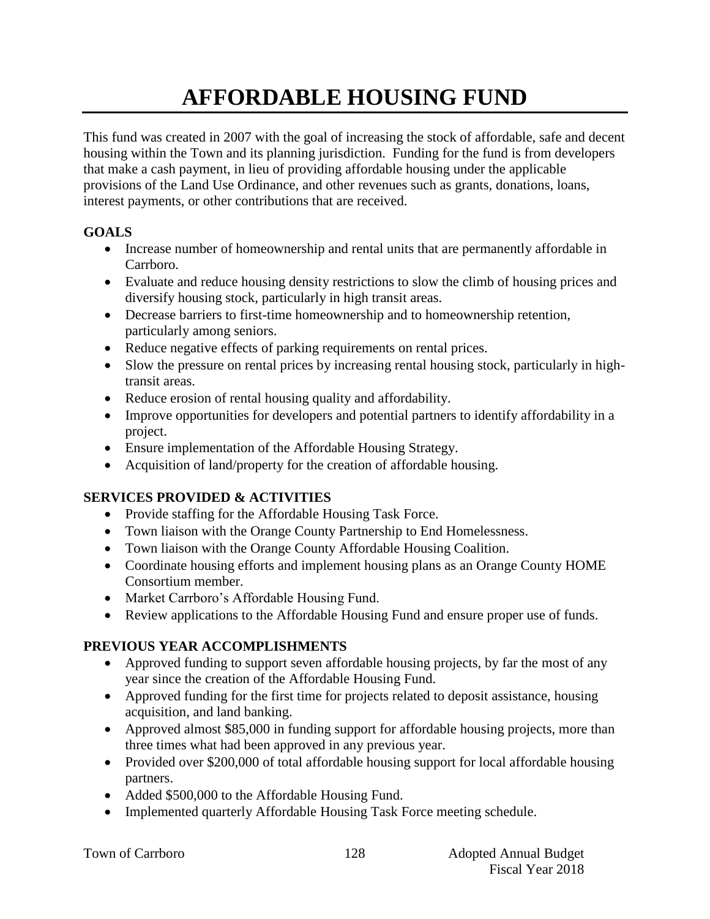# **AFFORDABLE HOUSING FUND**

This fund was created in 2007 with the goal of increasing the stock of affordable, safe and decent housing within the Town and its planning jurisdiction. Funding for the fund is from developers that make a cash payment, in lieu of providing affordable housing under the applicable provisions of the Land Use Ordinance, and other revenues such as grants, donations, loans, interest payments, or other contributions that are received.

## **GOALS**

- Increase number of homeownership and rental units that are permanently affordable in Carrboro.
- Evaluate and reduce housing density restrictions to slow the climb of housing prices and diversify housing stock, particularly in high transit areas.
- Decrease barriers to first-time homeownership and to homeownership retention, particularly among seniors.
- Reduce negative effects of parking requirements on rental prices.
- Slow the pressure on rental prices by increasing rental housing stock, particularly in hightransit areas.
- Reduce erosion of rental housing quality and affordability.
- Improve opportunities for developers and potential partners to identify affordability in a project.
- Ensure implementation of the Affordable Housing Strategy.
- Acquisition of land/property for the creation of affordable housing.

## **SERVICES PROVIDED & ACTIVITIES**

- Provide staffing for the Affordable Housing Task Force.
- Town liaison with the Orange County Partnership to End Homelessness.
- Town liaison with the Orange County Affordable Housing Coalition.
- Coordinate housing efforts and implement housing plans as an Orange County HOME Consortium member.
- Market Carrboro's Affordable Housing Fund.
- Review applications to the Affordable Housing Fund and ensure proper use of funds.

## **PREVIOUS YEAR ACCOMPLISHMENTS**

- Approved funding to support seven affordable housing projects, by far the most of any year since the creation of the Affordable Housing Fund.
- Approved funding for the first time for projects related to deposit assistance, housing acquisition, and land banking.
- Approved almost \$85,000 in funding support for affordable housing projects, more than three times what had been approved in any previous year.
- Provided over \$200,000 of total affordable housing support for local affordable housing partners.
- Added \$500,000 to the Affordable Housing Fund.
- Implemented quarterly Affordable Housing Task Force meeting schedule.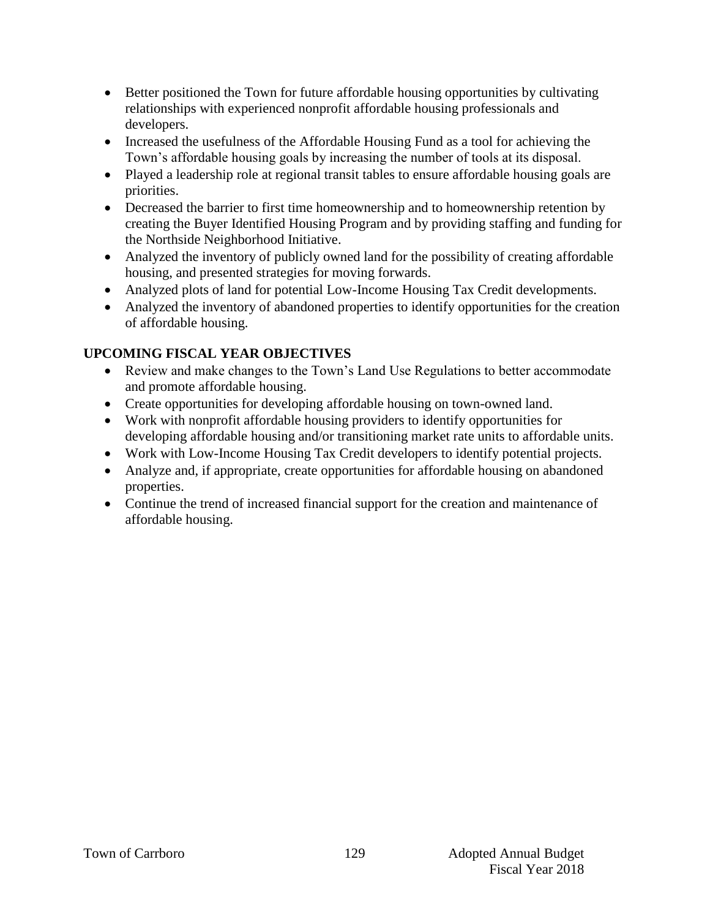- Better positioned the Town for future affordable housing opportunities by cultivating relationships with experienced nonprofit affordable housing professionals and developers.
- Increased the usefulness of the Affordable Housing Fund as a tool for achieving the Town's affordable housing goals by increasing the number of tools at its disposal.
- Played a leadership role at regional transit tables to ensure affordable housing goals are priorities.
- Decreased the barrier to first time homeownership and to homeownership retention by creating the Buyer Identified Housing Program and by providing staffing and funding for the Northside Neighborhood Initiative.
- Analyzed the inventory of publicly owned land for the possibility of creating affordable housing, and presented strategies for moving forwards.
- Analyzed plots of land for potential Low-Income Housing Tax Credit developments.
- Analyzed the inventory of abandoned properties to identify opportunities for the creation of affordable housing.

## **UPCOMING FISCAL YEAR OBJECTIVES**

- Review and make changes to the Town's Land Use Regulations to better accommodate and promote affordable housing.
- Create opportunities for developing affordable housing on town-owned land.
- Work with nonprofit affordable housing providers to identify opportunities for developing affordable housing and/or transitioning market rate units to affordable units.
- Work with Low-Income Housing Tax Credit developers to identify potential projects.
- Analyze and, if appropriate, create opportunities for affordable housing on abandoned properties.
- Continue the trend of increased financial support for the creation and maintenance of affordable housing.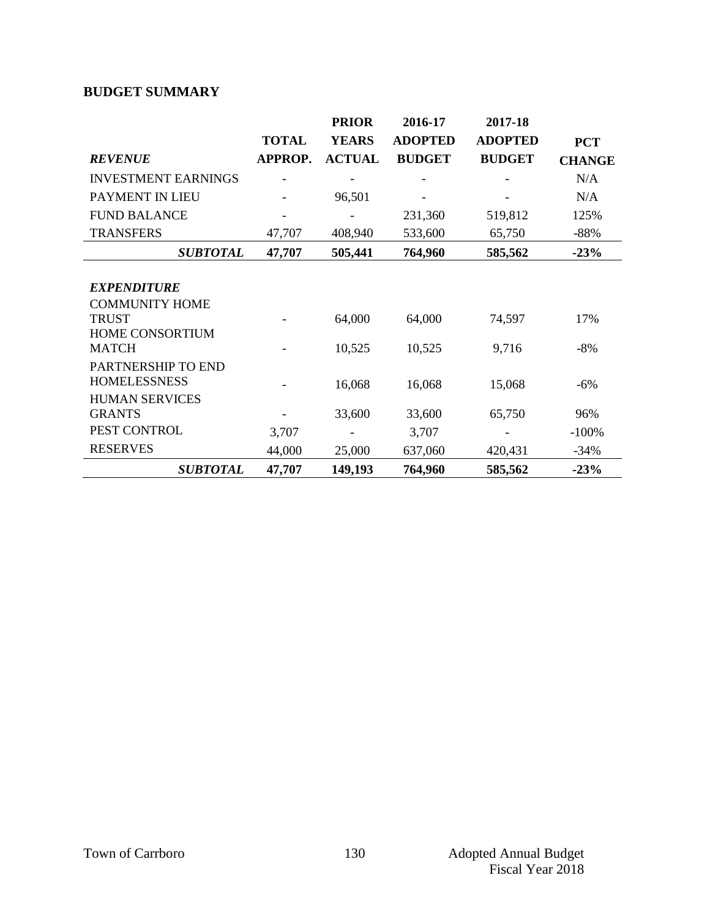## **BUDGET SUMMARY**

|                            |                | <b>PRIOR</b>  | 2016-17        | 2017-18        |               |
|----------------------------|----------------|---------------|----------------|----------------|---------------|
|                            | <b>TOTAL</b>   | <b>YEARS</b>  | <b>ADOPTED</b> | <b>ADOPTED</b> | <b>PCT</b>    |
| <b>REVENUE</b>             | <b>APPROP.</b> | <b>ACTUAL</b> | <b>BUDGET</b>  | <b>BUDGET</b>  | <b>CHANGE</b> |
| <b>INVESTMENT EARNINGS</b> |                |               |                |                | N/A           |
| PAYMENT IN LIEU            |                | 96,501        |                |                | N/A           |
| <b>FUND BALANCE</b>        |                |               | 231,360        | 519,812        | 125%          |
| <b>TRANSFERS</b>           | 47,707         | 408,940       | 533,600        | 65,750         | $-88%$        |
| <b>SUBTOTAL</b>            | 47,707         | 505,441       | 764,960        | 585,562        | $-23%$        |
|                            |                |               |                |                |               |
| <b>EXPENDITURE</b>         |                |               |                |                |               |
| <b>COMMUNITY HOME</b>      |                |               |                |                |               |
| <b>TRUST</b>               |                | 64,000        | 64,000         | 74,597         | 17%           |
| <b>HOME CONSORTIUM</b>     |                |               |                |                |               |
| <b>MATCH</b>               |                | 10,525        | 10,525         | 9,716          | $-8%$         |
| PARTNERSHIP TO END         |                |               |                |                |               |
| <b>HOMELESSNESS</b>        |                | 16,068        | 16,068         | 15,068         | $-6%$         |
| <b>HUMAN SERVICES</b>      |                |               |                |                |               |
| <b>GRANTS</b>              |                | 33,600        | 33,600         | 65,750         | 96%           |
| PEST CONTROL               | 3,707          |               | 3,707          |                | $-100%$       |
| <b>RESERVES</b>            | 44,000         | 25,000        | 637,060        | 420,431        | $-34%$        |
| <b>SUBTOTAL</b>            | 47,707         | 149,193       | 764,960        | 585,562        | $-23%$        |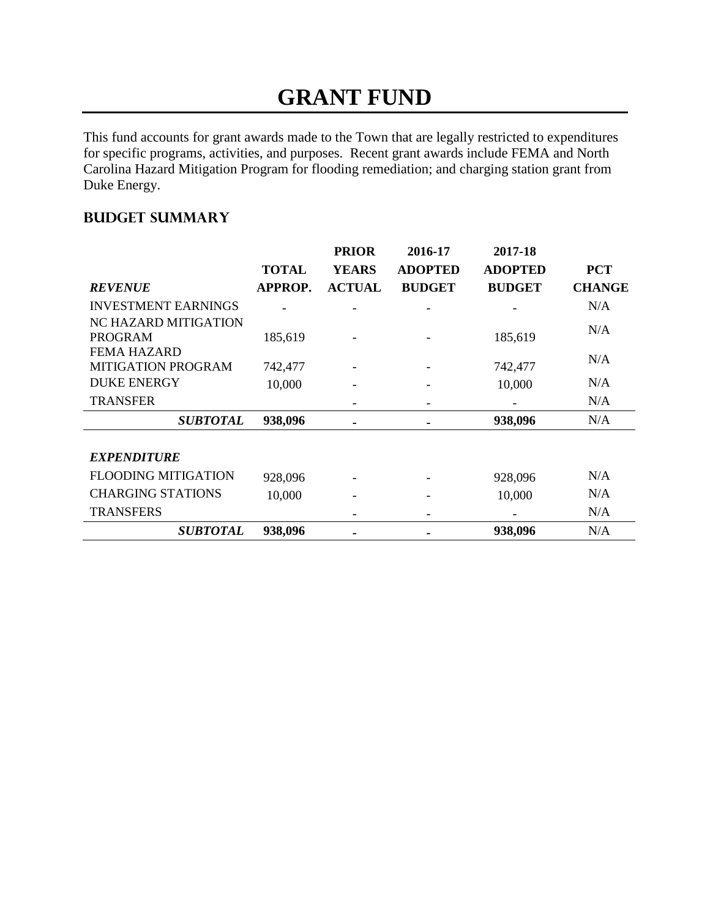## **GRANT FUND**

This fund accounts for grant awards made to the Town that are legally restricted to expenditures for specific programs, activities, and purposes. Recent grant awards include FEMA and North Carolina Hazard Mitigation Program for flooding remediation; and charging station grant from Duke Energy.

## **Budget summary**

|                            | <b>TOTAL</b> | <b>PRIOR</b><br><b>YEARS</b> | 2016-17<br><b>ADOPTED</b> | 2017-18<br><b>ADOPTED</b> | <b>PCT</b>    |
|----------------------------|--------------|------------------------------|---------------------------|---------------------------|---------------|
| <b>REVENUE</b>             | APPROP.      | <b>ACTUAL</b>                | <b>BUDGET</b>             | <b>BUDGET</b>             | <b>CHANGE</b> |
| <b>INVESTMENT EARNINGS</b> |              |                              |                           |                           | N/A           |
| NC HAZARD MITIGATION       |              |                              |                           |                           | N/A           |
| <b>PROGRAM</b>             | 185,619      |                              |                           | 185,619                   |               |
| <b>FEMA HAZARD</b>         |              |                              |                           |                           | N/A           |
| <b>MITIGATION PROGRAM</b>  | 742,477      |                              |                           | 742,477                   |               |
| <b>DUKE ENERGY</b>         | 10,000       |                              |                           | 10,000                    | N/A           |
| <b>TRANSFER</b>            |              |                              |                           |                           | N/A           |
| <b>SUBTOTAL</b>            | 938,096      |                              |                           | 938,096                   | N/A           |
|                            |              |                              |                           |                           |               |
| <b>EXPENDITURE</b>         |              |                              |                           |                           |               |
| <b>FLOODING MITIGATION</b> | 928,096      |                              |                           | 928,096                   | N/A           |
| <b>CHARGING STATIONS</b>   | 10,000       |                              |                           | 10,000                    | N/A           |
| <b>TRANSFERS</b>           |              |                              |                           |                           | N/A           |
| <i><b>SUBTOTAL</b></i>     | 938,096      |                              |                           | 938,096                   | N/A           |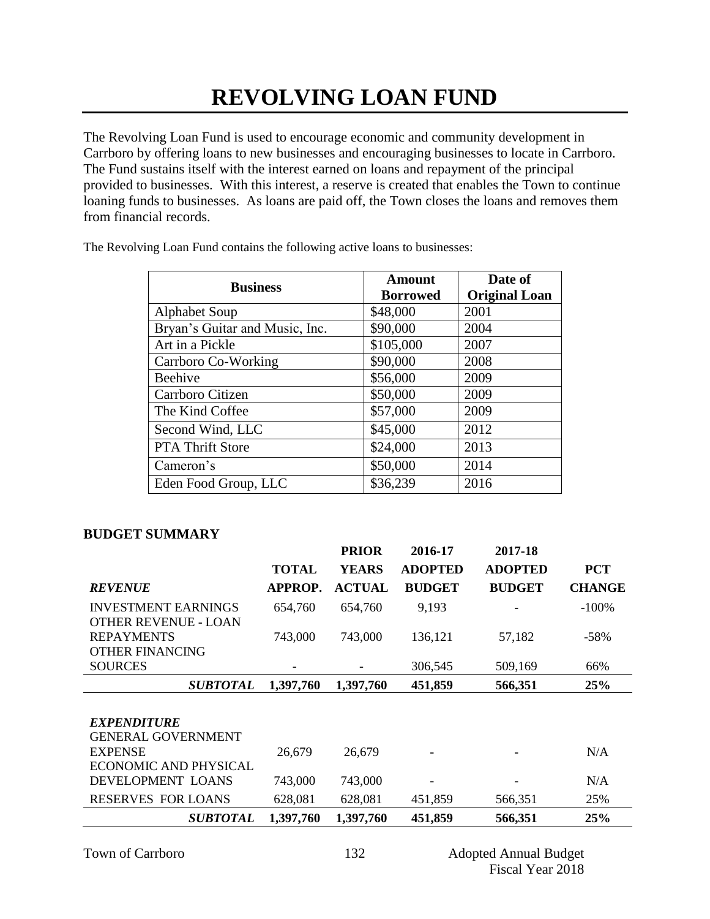The Revolving Loan Fund is used to encourage economic and community development in Carrboro by offering loans to new businesses and encouraging businesses to locate in Carrboro. The Fund sustains itself with the interest earned on loans and repayment of the principal provided to businesses. With this interest, a reserve is created that enables the Town to continue loaning funds to businesses. As loans are paid off, the Town closes the loans and removes them from financial records.

The Revolving Loan Fund contains the following active loans to businesses:

| <b>Business</b>                | <b>Amount</b><br><b>Borrowed</b> | Date of<br><b>Original Loan</b> |
|--------------------------------|----------------------------------|---------------------------------|
| <b>Alphabet Soup</b>           | \$48,000                         | 2001                            |
| Bryan's Guitar and Music, Inc. | \$90,000                         | 2004                            |
| Art in a Pickle                | \$105,000                        | 2007                            |
| Carrboro Co-Working            | \$90,000                         | 2008                            |
| <b>Beehive</b>                 | \$56,000                         | 2009                            |
| Carrboro Citizen               | \$50,000                         | 2009                            |
| The Kind Coffee                | \$57,000                         | 2009                            |
| Second Wind, LLC               | \$45,000                         | 2012                            |
| <b>PTA Thrift Store</b>        | \$24,000                         | 2013                            |
| Cameron's                      | \$50,000                         | 2014                            |
| Eden Food Group, LLC           | \$36,239                         | 2016                            |

### **BUDGET SUMMARY**

|                                                           |                | <b>PRIOR</b>  | 2016-17                  | 2017-18        |               |
|-----------------------------------------------------------|----------------|---------------|--------------------------|----------------|---------------|
|                                                           | <b>TOTAL</b>   | <b>YEARS</b>  | <b>ADOPTED</b>           | <b>ADOPTED</b> | <b>PCT</b>    |
| <b>REVENUE</b>                                            | <b>APPROP.</b> | <b>ACTUAL</b> | <b>BUDGET</b>            | <b>BUDGET</b>  | <b>CHANGE</b> |
| <b>INVESTMENT EARNINGS</b><br><b>OTHER REVENUE - LOAN</b> | 654,760        | 654,760       | 9,193                    |                | $-100\%$      |
| <b>REPAYMENTS</b>                                         | 743,000        | 743,000       | 136,121                  | 57,182         | $-58%$        |
| <b>OTHER FINANCING</b>                                    |                |               |                          |                |               |
| <b>SOURCES</b>                                            |                |               | 306,545                  | 509,169        | 66%           |
| <b>SUBTOTAL</b>                                           | 1,397,760      | 1,397,760     | 451,859                  | 566,351        | 25%           |
|                                                           |                |               |                          |                |               |
| <b>EXPENDITURE</b>                                        |                |               |                          |                |               |
| <b>GENERAL GOVERNMENT</b>                                 |                |               |                          |                |               |
| <b>EXPENSE</b>                                            | 26,679         | 26,679        |                          |                | N/A           |
| <b>ECONOMIC AND PHYSICAL</b>                              |                |               |                          |                |               |
| DEVELOPMENT LOANS                                         | 743,000        | 743,000       | $\overline{\phantom{a}}$ |                | N/A           |
| <b>RESERVES FOR LOANS</b>                                 | 628,081        | 628,081       | 451,859                  | 566,351        | 25%           |
| <b>SUBTOTAL</b>                                           | 1,397,760      | 1,397,760     | 451,859                  | 566,351        | 25%           |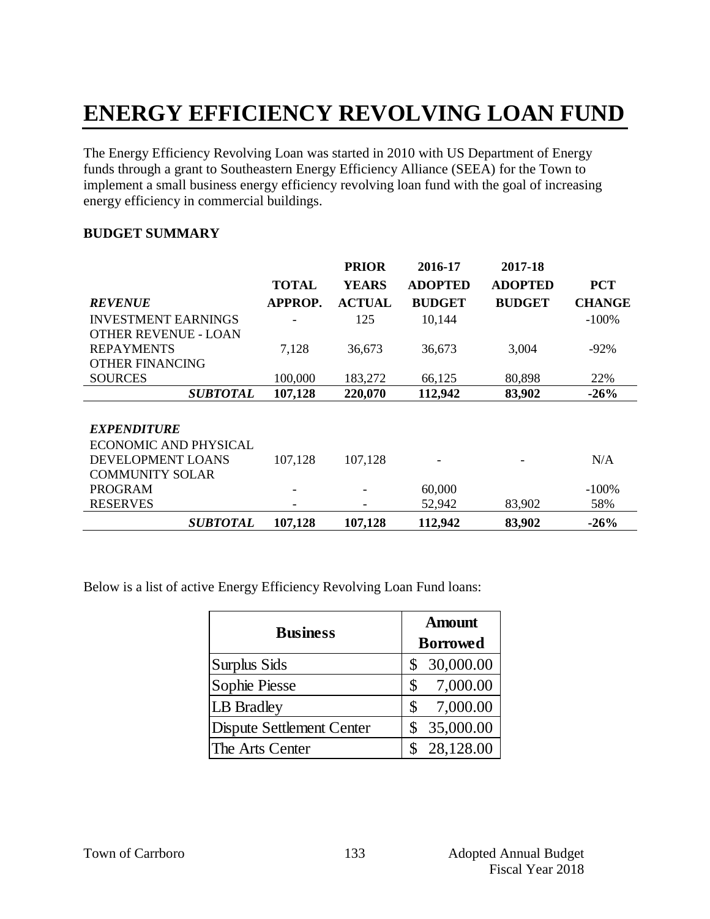# **ENERGY EFFICIENCY REVOLVING LOAN FUND**

The Energy Efficiency Revolving Loan was started in 2010 with US Department of Energy funds through a grant to Southeastern Energy Efficiency Alliance (SEEA) for the Town to implement a small business energy efficiency revolving loan fund with the goal of increasing energy efficiency in commercial buildings.

### **BUDGET SUMMARY**

|                             |                          | <b>PRIOR</b>  | 2016-17        | 2017-18        |               |
|-----------------------------|--------------------------|---------------|----------------|----------------|---------------|
|                             | <b>TOTAL</b>             | <b>YEARS</b>  | <b>ADOPTED</b> | <b>ADOPTED</b> | <b>PCT</b>    |
| <b>REVENUE</b>              | APPROP.                  | <b>ACTUAL</b> | <b>BUDGET</b>  | <b>BUDGET</b>  | <b>CHANGE</b> |
| <b>INVESTMENT EARNINGS</b>  | $\overline{\phantom{a}}$ | 125           | 10,144         |                | $-100%$       |
| <b>OTHER REVENUE - LOAN</b> |                          |               |                |                |               |
| <b>REPAYMENTS</b>           | 7,128                    | 36,673        | 36,673         | 3,004          | $-92\%$       |
| <b>OTHER FINANCING</b>      |                          |               |                |                |               |
| <b>SOURCES</b>              | 100,000                  | 183,272       | 66,125         | 80,898         | 22%           |
| <b>SUBTOTAL</b>             | 107,128                  | 220,070       | 112,942        | 83,902         | $-26%$        |
|                             |                          |               |                |                |               |
| <b>EXPENDITURE</b>          |                          |               |                |                |               |
| ECONOMIC AND PHYSICAL       |                          |               |                |                |               |
| DEVELOPMENT LOANS           | 107,128                  | 107,128       |                |                | N/A           |
| <b>COMMUNITY SOLAR</b>      |                          |               |                |                |               |
| <b>PROGRAM</b>              |                          |               | 60,000         |                | $-100\%$      |
| <b>RESERVES</b>             |                          |               | 52,942         | 83,902         | 58%           |
| <b>SUBTOTAL</b>             | 107,128                  | 107,128       | 112,942        | 83,902         | $-26%$        |

Below is a list of active Energy Efficiency Revolving Loan Fund loans:

| <b>Business</b>           | <b>Amount</b>   |  |  |
|---------------------------|-----------------|--|--|
|                           | <b>Borrowed</b> |  |  |
| <b>Surplus Sids</b>       | 30,000.00       |  |  |
| Sophie Piesse             | 7,000.00<br>\$  |  |  |
| LB Bradley                | 7,000.00<br>\$  |  |  |
| Dispute Settlement Center | 35,000.00       |  |  |
| The Arts Center           | 28,128.00       |  |  |